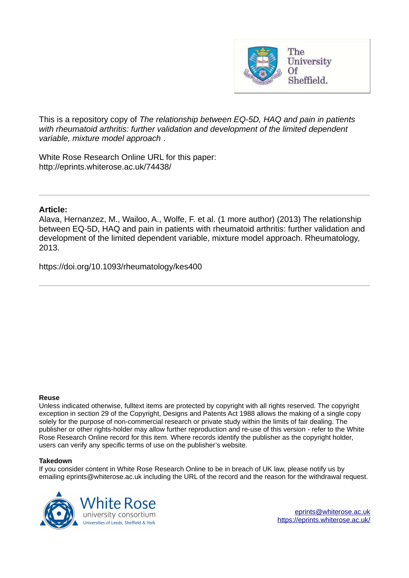

This is a repository copy of *The relationship between EQ-5D, HAQ and pain in patients with rheumatoid arthritis: further validation and development of the limited dependent variable, mixture model approach* .

White Rose Research Online URL for this paper: http://eprints.whiterose.ac.uk/74438/

#### **Article:**

Alava, Hernanzez, M., Wailoo, A., Wolfe, F. et al. (1 more author) (2013) The relationship between EQ-5D, HAQ and pain in patients with rheumatoid arthritis: further validation and development of the limited dependent variable, mixture model approach. Rheumatology, 2013.

https://doi.org/10.1093/rheumatology/kes400

#### **Reuse**

Unless indicated otherwise, fulltext items are protected by copyright with all rights reserved. The copyright exception in section 29 of the Copyright, Designs and Patents Act 1988 allows the making of a single copy solely for the purpose of non-commercial research or private study within the limits of fair dealing. The publisher or other rights-holder may allow further reproduction and re-use of this version - refer to the White Rose Research Online record for this item. Where records identify the publisher as the copyright holder, users can verify any specific terms of use on the publisher's website.

#### **Takedown**

If you consider content in White Rose Research Online to be in breach of UK law, please notify us by emailing eprints@whiterose.ac.uk including the URL of the record and the reason for the withdrawal request.

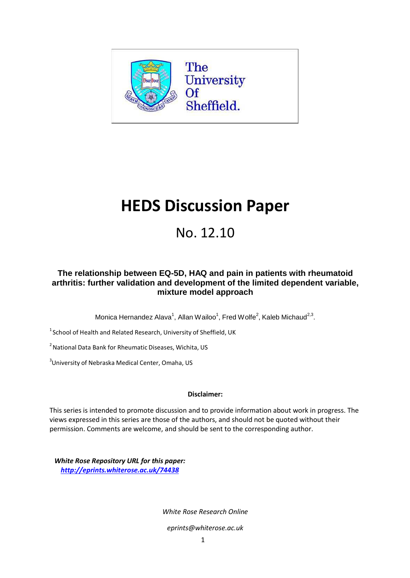

# **HEDS Discussion Paper**

# No. 12.10

### **The relationship between EQ-5D, HAQ and pain in patients with rheumatoid arthritis: further validation and development of the limited dependent variable, mixture model approach**

Monica Hernandez Alava<sup>1</sup>, Allan Wailoo<sup>1</sup>, Fred Wolfe<sup>2</sup>, Kaleb Michaud<sup>2,3</sup>.

 $1$ School of Health and Related Research, University of Sheffield, UK

<sup>2</sup> National Data Bank for Rheumatic Diseases, Wichita, US

<sup>3</sup>University of Nebraska Medical Center, Omaha, US

#### **Disclaimer:**

This series is intended to promote discussion and to provide information about work in progress. The views expressed in this series are those of the authors, and should not be quoted without their permission. Comments are welcome, and should be sent to the corresponding author.

*White Rose Repository URL for this paper: <http://eprints.whiterose.ac.uk/74438>*

*White Rose Research Onlin[e](mailto:eprints@whiterose.ac.uk)* 

*[eprints@whiterose.ac.uk](mailto:eprints@whiterose.ac.uk)*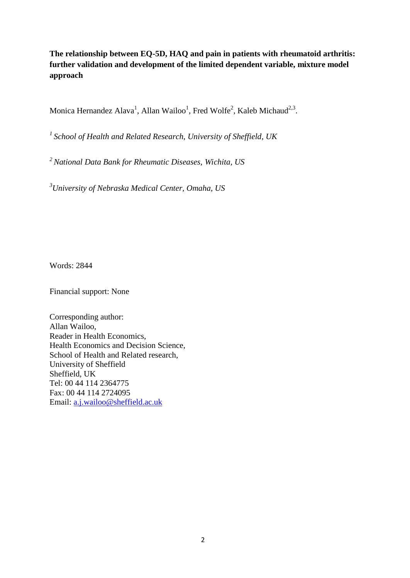**The relationship between EQ-5D, HAQ and pain in patients with rheumatoid arthritis: further validation and development of the limited dependent variable, mixture model approach**

Monica Hernandez Alava<sup>1</sup>, Allan Wailoo<sup>1</sup>, Fred Wolfe<sup>2</sup>, Kaleb Michaud<sup>2,3</sup>.

*<sup>1</sup>School of Health and Related Research, University of Sheffield, UK*

*<sup>2</sup>National Data Bank for Rheumatic Diseases, Wichita, US*

*<sup>3</sup>University of Nebraska Medical Center, Omaha, US*

Words: 2844

Financial support: None

Corresponding author: Allan Wailoo, Reader in Health Economics, Health Economics and Decision Science, School of Health and Related research, University of Sheffield Sheffield, UK Tel: 00 44 114 2364775 Fax: 00 44 114 2724095 Email: [a.j.wailoo@sheffield.ac.uk](mailto:a.j.wailoo@sheffield.ac.uk)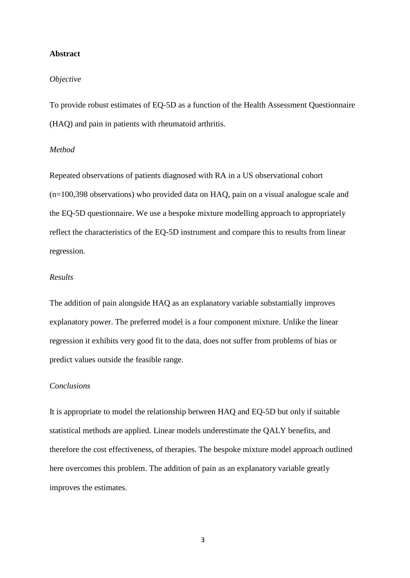#### **Abstract**

#### *Objective*

To provide robust estimates of EQ-5D as a function of the Health Assessment Questionnaire (HAQ) and pain in patients with rheumatoid arthritis.

#### *Method*

Repeated observations of patients diagnosed with RA in a US observational cohort (n=100,398 observations) who provided data on HAQ, pain on a visual analogue scale and the EQ-5D questionnaire. We use a bespoke mixture modelling approach to appropriately reflect the characteristics of the EQ-5D instrument and compare this to results from linear regression.

#### *Results*

The addition of pain alongside HAQ as an explanatory variable substantially improves explanatory power. The preferred model is a four component mixture. Unlike the linear regression it exhibits very good fit to the data, does not suffer from problems of bias or predict values outside the feasible range.

#### *Conclusions*

It is appropriate to model the relationship between HAQ and EQ-5D but only if suitable statistical methods are applied. Linear models underestimate the QALY benefits, and therefore the cost effectiveness, of therapies. The bespoke mixture model approach outlined here overcomes this problem. The addition of pain as an explanatory variable greatly improves the estimates.

3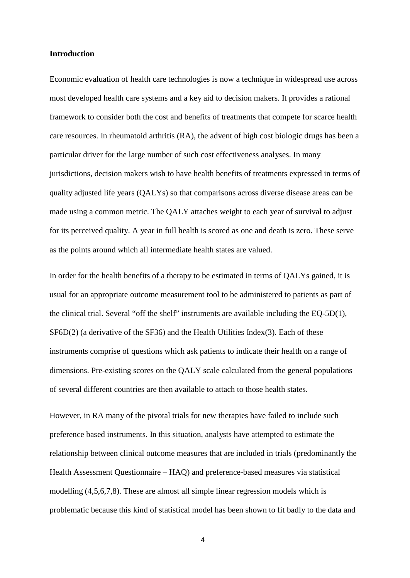#### **Introduction**

Economic evaluation of health care technologies is now a technique in widespread use across most developed health care systems and a key aid to decision makers. It provides a rational framework to consider both the cost and benefits of treatments that compete for scarce health care resources. In rheumatoid arthritis (RA), the advent of high cost biologic drugs has been a particular driver for the large number of such cost effectiveness analyses. In many jurisdictions, decision makers wish to have health benefits of treatments expressed in terms of quality adjusted life years (QALYs) so that comparisons across diverse disease areas can be made using a common metric. The QALY attaches weight to each year of survival to adjust for its perceived quality. A year in full health is scored as one and death is zero. These serve as the points around which all intermediate health states are valued.

In order for the health benefits of a therapy to be estimated in terms of QALYs gained, it is usual for an appropriate outcome measurement tool to be administered to patients as part of the clinical trial. Several "off the shelf" instruments are available including the EQ-5D(1), SF6D(2) (a derivative of the SF36) and the Health Utilities Index(3). Each of these instruments comprise of questions which ask patients to indicate their health on a range of dimensions. Pre-existing scores on the QALY scale calculated from the general populations of several different countries are then available to attach to those health states.

However, in RA many of the pivotal trials for new therapies have failed to include such preference based instruments. In this situation, analysts have attempted to estimate the relationship between clinical outcome measures that are included in trials (predominantly the Health Assessment Questionnaire – HAQ) and preference-based measures via statistical modelling (4,5,6,7,8). These are almost all simple linear regression models which is problematic because this kind of statistical model has been shown to fit badly to the data and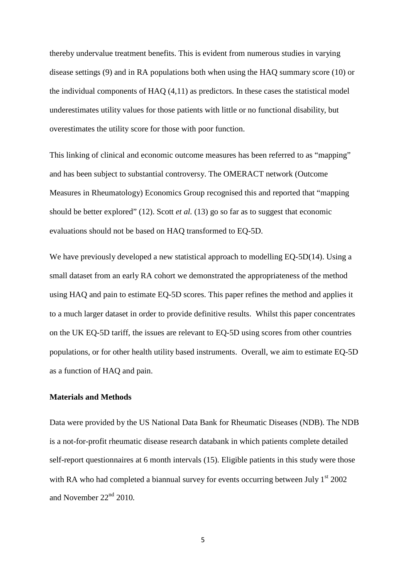thereby undervalue treatment benefits. This is evident from numerous studies in varying disease settings (9) and in RA populations both when using the HAQ summary score (10) or the individual components of HAQ (4,11) as predictors. In these cases the statistical model underestimates utility values for those patients with little or no functional disability, but overestimates the utility score for those with poor function.

This linking of clinical and economic outcome measures has been referred to as "mapping" and has been subject to substantial controversy. The OMERACT network (Outcome Measures in Rheumatology) Economics Group recognised this and reported that "mapping should be better explored" (12). Scott *et al.* (13) go so far as to suggest that economic evaluations should not be based on HAQ transformed to EQ-5D.

We have previously developed a new statistical approach to modelling EQ-5D(14). Using a small dataset from an early RA cohort we demonstrated the appropriateness of the method using HAQ and pain to estimate EQ-5D scores. This paper refines the method and applies it to a much larger dataset in order to provide definitive results. Whilst this paper concentrates on the UK EQ-5D tariff, the issues are relevant to EQ-5D using scores from other countries populations, or for other health utility based instruments. Overall, we aim to estimate EQ-5D as a function of HAQ and pain.

#### **Materials and Methods**

Data were provided by the US National Data Bank for Rheumatic Diseases (NDB). The NDB is a not-for-profit rheumatic disease research databank in which patients complete detailed self-report questionnaires at 6 month intervals (15). Eligible patients in this study were those with RA who had completed a biannual survey for events occurring between July  $1<sup>st</sup> 2002$ and November  $22<sup>nd</sup>$  2010.

5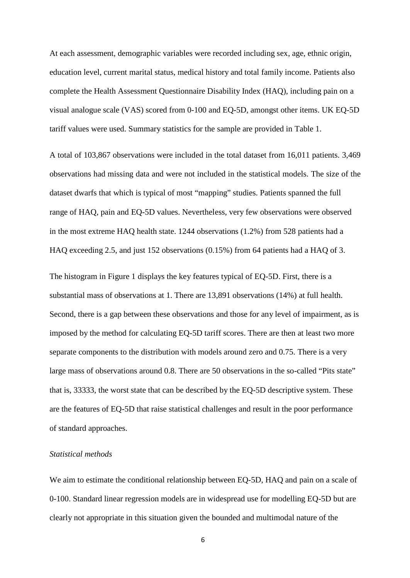At each assessment, demographic variables were recorded including sex, age, ethnic origin, education level, current marital status, medical history and total family income. Patients also complete the Health Assessment Questionnaire Disability Index (HAQ), including pain on a visual analogue scale (VAS) scored from 0-100 and EQ-5D, amongst other items. UK EQ-5D tariff values were used. Summary statistics for the sample are provided in Table 1.

A total of 103,867 observations were included in the total dataset from 16,011 patients. 3,469 observations had missing data and were not included in the statistical models. The size of the dataset dwarfs that which is typical of most "mapping" studies. Patients spanned the full range of HAQ, pain and EQ-5D values. Nevertheless, very few observations were observed in the most extreme HAQ health state. 1244 observations (1.2%) from 528 patients had a HAQ exceeding 2.5, and just 152 observations (0.15%) from 64 patients had a HAQ of 3.

The histogram in Figure 1 displays the key features typical of EQ-5D. First, there is a substantial mass of observations at 1. There are 13,891 observations (14%) at full health. Second, there is a gap between these observations and those for any level of impairment, as is imposed by the method for calculating EQ-5D tariff scores. There are then at least two more separate components to the distribution with models around zero and 0.75. There is a very large mass of observations around 0.8. There are 50 observations in the so-called "Pits state" that is, 33333, the worst state that can be described by the EQ-5D descriptive system. These are the features of EQ-5D that raise statistical challenges and result in the poor performance of standard approaches.

#### *Statistical methods*

We aim to estimate the conditional relationship between EQ-5D, HAQ and pain on a scale of 0-100. Standard linear regression models are in widespread use for modelling EQ-5D but are clearly not appropriate in this situation given the bounded and multimodal nature of the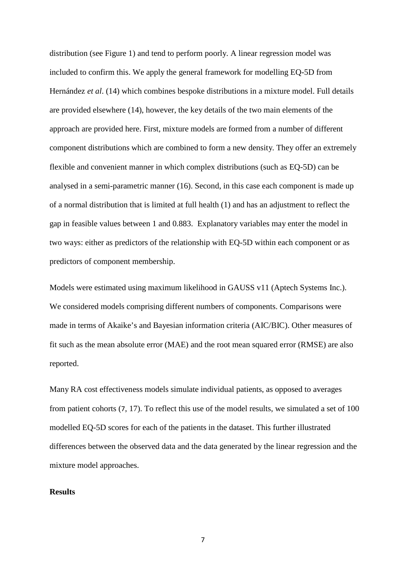distribution (see Figure 1) and tend to perform poorly. A linear regression model was included to confirm this. We apply the general framework for modelling EQ-5D from Hernández *et al*. (14) which combines bespoke distributions in a mixture model. Full details are provided elsewhere (14), however, the key details of the two main elements of the approach are provided here. First, mixture models are formed from a number of different component distributions which are combined to form a new density. They offer an extremely flexible and convenient manner in which complex distributions (such as EQ-5D) can be analysed in a semi-parametric manner (16). Second, in this case each component is made up of a normal distribution that is limited at full health (1) and has an adjustment to reflect the gap in feasible values between 1 and 0.883. Explanatory variables may enter the model in two ways: either as predictors of the relationship with EQ-5D within each component or as predictors of component membership.

Models were estimated using maximum likelihood in GAUSS v11 (Aptech Systems Inc.). We considered models comprising different numbers of components. Comparisons were made in terms of Akaike's and Bayesian information criteria (AIC/BIC). Other measures of fit such as the mean absolute error (MAE) and the root mean squared error (RMSE) are also reported.

Many RA cost effectiveness models simulate individual patients, as opposed to averages from patient cohorts (7, 17). To reflect this use of the model results, we simulated a set of 100 modelled EQ-5D scores for each of the patients in the dataset. This further illustrated differences between the observed data and the data generated by the linear regression and the mixture model approaches.

#### **Results**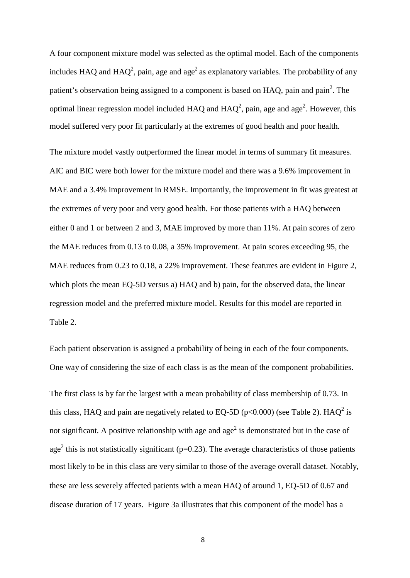A four component mixture model was selected as the optimal model. Each of the components includes HAQ and HAQ<sup>2</sup>, pain, age and age<sup>2</sup> as explanatory variables. The probability of any patient's observation being assigned to a component is based on  $HAQ$ , pain and pain<sup>2</sup>. The optimal linear regression model included HAQ and  $HAQ^2$ , pain, age and age<sup>2</sup>. However, this model suffered very poor fit particularly at the extremes of good health and poor health.

The mixture model vastly outperformed the linear model in terms of summary fit measures. AIC and BIC were both lower for the mixture model and there was a 9.6% improvement in MAE and a 3.4% improvement in RMSE. Importantly, the improvement in fit was greatest at the extremes of very poor and very good health. For those patients with a HAQ between either 0 and 1 or between 2 and 3, MAE improved by more than 11%. At pain scores of zero the MAE reduces from 0.13 to 0.08, a 35% improvement. At pain scores exceeding 95, the MAE reduces from 0.23 to 0.18, a 22% improvement. These features are evident in Figure 2, which plots the mean EQ-5D versus a) HAQ and b) pain, for the observed data, the linear regression model and the preferred mixture model. Results for this model are reported in Table 2.

Each patient observation is assigned a probability of being in each of the four components. One way of considering the size of each class is as the mean of the component probabilities.

The first class is by far the largest with a mean probability of class membership of 0.73. In this class, HAQ and pain are negatively related to EQ-5D ( $p<0.000$ ) (see Table 2). HAQ<sup>2</sup> is not significant. A positive relationship with age and  $age<sup>2</sup>$  is demonstrated but in the case of age<sup>2</sup> this is not statistically significant ( $p=0.23$ ). The average characteristics of those patients most likely to be in this class are very similar to those of the average overall dataset. Notably, these are less severely affected patients with a mean HAQ of around 1, EQ-5D of 0.67 and disease duration of 17 years. Figure 3a illustrates that this component of the model has a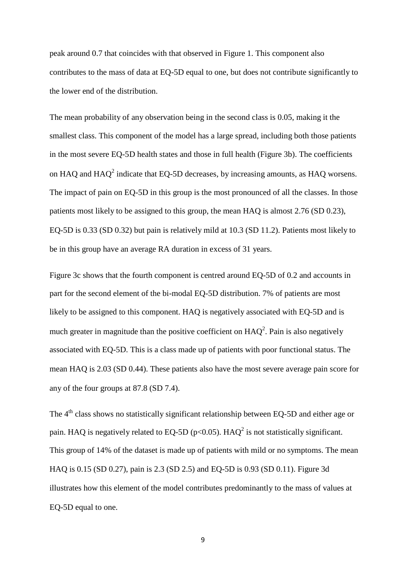peak around 0.7 that coincides with that observed in Figure 1. This component also contributes to the mass of data at EQ-5D equal to one, but does not contribute significantly to the lower end of the distribution.

The mean probability of any observation being in the second class is 0.05, making it the smallest class. This component of the model has a large spread, including both those patients in the most severe EQ-5D health states and those in full health (Figure 3b). The coefficients on HAQ and  $HAO<sup>2</sup>$  indicate that EQ-5D decreases, by increasing amounts, as HAQ worsens. The impact of pain on EQ-5D in this group is the most pronounced of all the classes. In those patients most likely to be assigned to this group, the mean HAQ is almost 2.76 (SD 0.23), EQ-5D is 0.33 (SD 0.32) but pain is relatively mild at 10.3 (SD 11.2). Patients most likely to be in this group have an average RA duration in excess of 31 years.

Figure 3c shows that the fourth component is centred around EQ-5D of 0.2 and accounts in part for the second element of the bi-modal EQ-5D distribution. 7% of patients are most likely to be assigned to this component. HAQ is negatively associated with EQ-5D and is much greater in magnitude than the positive coefficient on  $HAQ^2$ . Pain is also negatively associated with EQ-5D. This is a class made up of patients with poor functional status. The mean HAQ is 2.03 (SD 0.44). These patients also have the most severe average pain score for any of the four groups at 87.8 (SD 7.4).

The  $4<sup>th</sup>$  class shows no statistically significant relationship between EQ-5D and either age or pain. HAQ is negatively related to EQ-5D ( $p<0.05$ ). HAQ<sup>2</sup> is not statistically significant. This group of 14% of the dataset is made up of patients with mild or no symptoms. The mean HAQ is 0.15 (SD 0.27), pain is 2.3 (SD 2.5) and EQ-5D is 0.93 (SD 0.11). Figure 3d illustrates how this element of the model contributes predominantly to the mass of values at EQ-5D equal to one.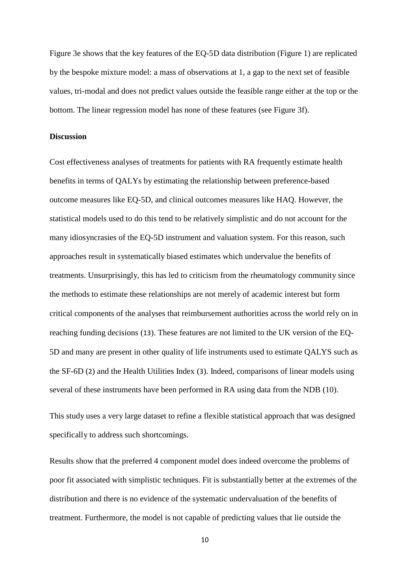Figure 3e shows that the key features of the EQ-5D data distribution (Figure 1) are replicated by the bespoke mixture model: a mass of observations at 1, a gap to the next set of feasible values, tri-modal and does not predict values outside the feasible range either at the top or the bottom. The linear regression model has none of these features (see Figure 3f).

#### **Discussion**

Cost effectiveness analyses of treatments for patients with RA frequently estimate health benefits in terms of QALYs by estimating the relationship between preference-based outcome measures like EQ-5D, and clinical outcomes measures like HAQ. However, the statistical models used to do this tend to be relatively simplistic and do not account for the many idiosyncrasies of the EQ-5D instrument and valuation system. For this reason, such approaches result in systematically biased estimates which undervalue the benefits of treatments. Unsurprisingly, this has led to criticism from the rheumatology community since the methods to estimate these relationships are not merely of academic interest but form critical components of the analyses that reimbursement authorities across the world rely on in reaching funding decisions (13). These features are not limited to the UK version of the EQ-5D and many are present in other quality of life instruments used to estimate QALYS such as the SF-6D (2) and the Health Utilities Index (3). Indeed, comparisons of linear models using several of these instruments have been performed in RA using data from the NDB (10).

This study uses a very large dataset to refine a flexible statistical approach that was designed specifically to address such shortcomings.

Results show that the preferred 4 component model does indeed overcome the problems of poor fit associated with simplistic techniques. Fit is substantially better at the extremes of the distribution and there is no evidence of the systematic undervaluation of the benefits of treatment. Furthermore, the model is not capable of predicting values that lie outside the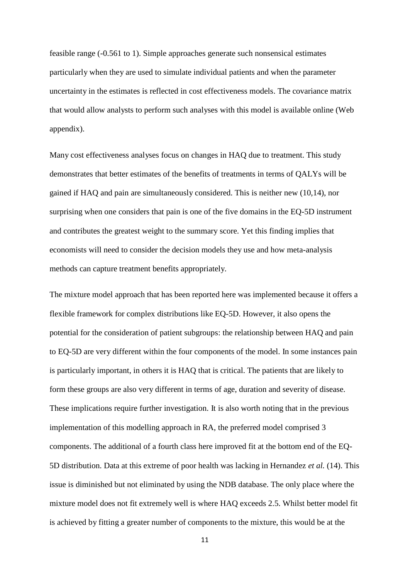feasible range (-0.561 to 1). Simple approaches generate such nonsensical estimates particularly when they are used to simulate individual patients and when the parameter uncertainty in the estimates is reflected in cost effectiveness models. The covariance matrix that would allow analysts to perform such analyses with this model is available online (Web appendix).

Many cost effectiveness analyses focus on changes in HAQ due to treatment. This study demonstrates that better estimates of the benefits of treatments in terms of QALYs will be gained if HAQ and pain are simultaneously considered. This is neither new (10,14), nor surprising when one considers that pain is one of the five domains in the EQ-5D instrument and contributes the greatest weight to the summary score. Yet this finding implies that economists will need to consider the decision models they use and how meta-analysis methods can capture treatment benefits appropriately.

The mixture model approach that has been reported here was implemented because it offers a flexible framework for complex distributions like EQ-5D. However, it also opens the potential for the consideration of patient subgroups: the relationship between HAQ and pain to EQ-5D are very different within the four components of the model. In some instances pain is particularly important, in others it is HAQ that is critical. The patients that are likely to form these groups are also very different in terms of age, duration and severity of disease. These implications require further investigation. It is also worth noting that in the previous implementation of this modelling approach in RA, the preferred model comprised 3 components. The additional of a fourth class here improved fit at the bottom end of the EQ-5D distribution. Data at this extreme of poor health was lacking in Hernandez *et al.* (14). This issue is diminished but not eliminated by using the NDB database. The only place where the mixture model does not fit extremely well is where HAQ exceeds 2.5. Whilst better model fit is achieved by fitting a greater number of components to the mixture, this would be at the

11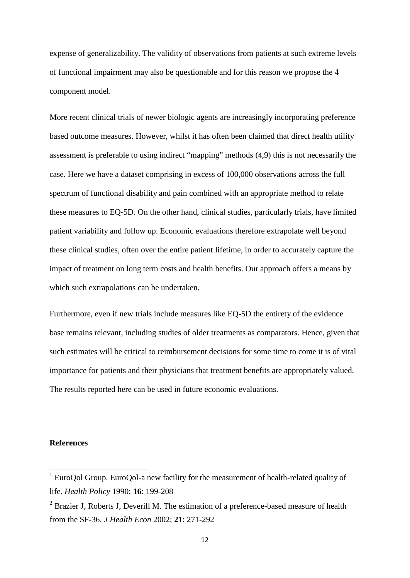expense of generalizability. The validity of observations from patients at such extreme levels of functional impairment may also be questionable and for this reason we propose the 4 component model.

More recent clinical trials of newer biologic agents are increasingly incorporating preference based outcome measures. However, whilst it has often been claimed that direct health utility assessment is preferable to using indirect "mapping" methods (4,9) this is not necessarily the case. Here we have a dataset comprising in excess of 100,000 observations across the full spectrum of functional disability and pain combined with an appropriate method to relate these measures to EQ-5D. On the other hand, clinical studies, particularly trials, have limited patient variability and follow up. Economic evaluations therefore extrapolate well beyond these clinical studies, often over the entire patient lifetime, in order to accurately capture the impact of treatment on long term costs and health benefits. Our approach offers a means by which such extrapolations can be undertaken.

Furthermore, even if new trials include measures like EQ-5D the entirety of the evidence base remains relevant, including studies of older treatments as comparators. Hence, given that such estimates will be critical to reimbursement decisions for some time to come it is of vital importance for patients and their physicians that treatment benefits are appropriately valued. The results reported here can be used in future economic evaluations.

#### **References**

<sup>&</sup>lt;sup>1</sup> EuroQol Group. EuroQol-a new facility for the measurement of health-related quality of life. *Health Policy* 1990; **16**: 199-208

 $2$  Brazier J, Roberts J, Deverill M. The estimation of a preference-based measure of health from the SF-36. *J Health Econ* 2002; **21**: 271-292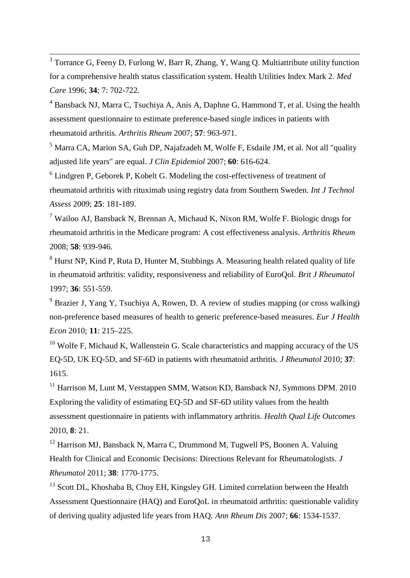$3$  Torrance G, Feeny D, Furlong W, Barr R, Zhang, Y, Wang Q. Multiattribute utility function for a comprehensive health status classification system. Health Utilities Index Mark 2. *Med Care* 1996; **34**; 7: 702-722.

 $4$  Bansback NJ, Marra C, Tsuchiya A, Anis A, Daphne G, Hammond T, et al. Using the health assessment questionnaire to estimate preference-based single indices in patients with rheumatoid arthritis. *Arthritis Rheum* 2007; **57**: 963-971.

 $<sup>5</sup>$  Marra CA, Marion SA, Guh DP, Najafzadeh M, Wolfe F, Esdaile JM, et al. Not all "quality"</sup> adjusted life years" are equal. *J Clin Epidemiol* 2007; **60**: 616-624.

 $6$  Lindgren P, Geborek P, Kobelt G. Modeling the cost-effectiveness of treatment of rheumatoid arthritis with rituximab using registry data from Southern Sweden. *Int J Technol Assess* 2009; **25**: 181-189.

<sup>7</sup> Wailoo AJ, Bansback N, Brennan A, Michaud K, Nixon RM, Wolfe F. Biologic drugs for rheumatoid arthritis in the Medicare program: A cost effectiveness analysis. *Arthritis Rheum* 2008; **58**: 939-946.

 $8$  Hurst NP, Kind P, Ruta D, Hunter M, Stubbings A. Measuring health related quality of life in rheumatoid arthritis: validity, responsiveness and reliability of EuroQol. *Brit J Rheumatol* 1997; **36**: 551-559.

 $9$  Brazier J, Yang Y, Tsuchiya A, Rowen, D. A review of studies mapping (or cross walking) non-preference based measures of health to generic preference-based measures. *Eur J Health Econ* 2010; **11**: 215–225.

 $10$  Wolfe F, Michaud K, Wallenstein G. Scale characteristics and mapping accuracy of the US EQ-5D, UK EQ-5D, and SF-6D in patients with rheumatoid arthritis. *J Rheumatol* 2010; **37**: 1615.

 $11$  Harrison M, Lunt M, Verstappen SMM, Watson KD, Bansback NJ, Symmons DPM. 2010 Exploring the validity of estimating EQ-5D and SF-6D utility values from the health assessment questionnaire in patients with inflammatory arthritis. *Health Qual Life Outcomes* 2010, **8**: 21.

 $12$  Harrison MJ, Bansback N, Marra C, Drummond M, Tugwell PS, Boonen A. Valuing Health for Clinical and Economic Decisions: Directions Relevant for Rheumatologists. *J Rheumatol* 2011; **38**: 1770-1775.

<sup>13</sup> Scott DL, Khoshaba B, Choy EH, Kingsley GH. Limited correlation between the Health Assessment Questionnaire (HAQ) and EuroQoL in rheumatoid arthritis: questionable validity of deriving quality adjusted life years from HAQ. *Ann Rheum Dis* 2007; **66**: 1534-1537.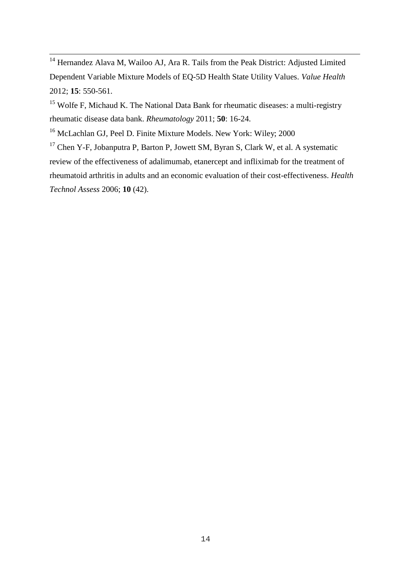$14$  Hernandez Alava M, Wailoo AJ, Ara R. Tails from the Peak District: Adjusted Limited Dependent Variable Mixture Models of EQ-5D Health State Utility Values. *Value Health* 2012; **15**: 550-561.

<sup>15</sup> Wolfe F, Michaud K. The National Data Bank for rheumatic diseases: a multi-registry rheumatic disease data bank. *Rheumatology* 2011; **50**: 16-24.

<sup>16</sup> McLachlan GJ, Peel D. Finite Mixture Models. New York: Wiley; 2000

<sup>17</sup> Chen Y-F, Jobanputra P, Barton P, Jowett SM, Byran S, Clark W, et al. A systematic review of the effectiveness of adalimumab, etanercept and infliximab for the treatment of rheumatoid arthritis in adults and an economic evaluation of their cost-effectiveness. *Health Technol Assess* 2006; **10** (42).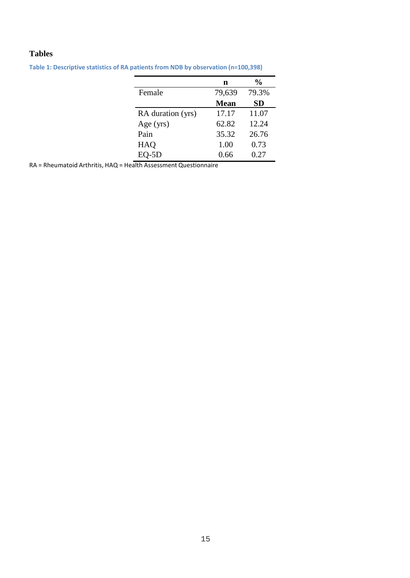## **Tables**

| n           | $\frac{0}{0}$ |
|-------------|---------------|
| 79,639      | 79.3%         |
| <b>Mean</b> | <b>SD</b>     |
| 17.17       | 11.07         |
| 62.82       | 12.24         |
| 35.32       | 26.76         |
| 1.00        | 0.73          |
| 0.66        | 0.27          |
|             |               |

**Table 1: Descriptive statistics of RA patients from NDB by observation (n=100,398)**

RA = Rheumatoid Arthritis, HAQ = Health Assessment Questionnaire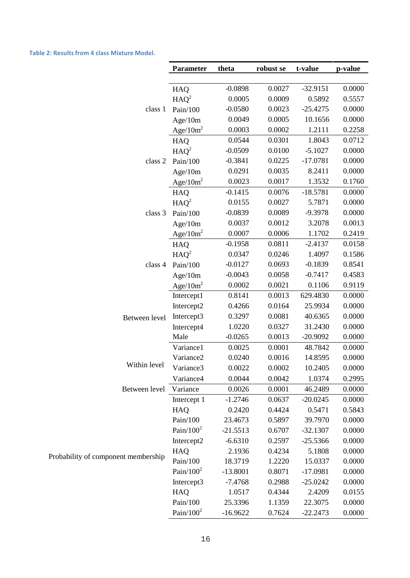**Table 2: Resultsfrom 4 class Mixture Model.**

|                                     | <b>Parameter</b>      | theta      | robust se | t-value    | p-value |
|-------------------------------------|-----------------------|------------|-----------|------------|---------|
|                                     |                       |            |           |            |         |
|                                     | HAQ                   | $-0.0898$  | 0.0027    | $-32.9151$ | 0.0000  |
|                                     | $HAQ^2$               | 0.0005     | 0.0009    | 0.5892     | 0.5557  |
| class 1                             | Pain/100              | $-0.0580$  | 0.0023    | $-25.4275$ | 0.0000  |
|                                     | Age/10m               | 0.0049     | 0.0005    | 10.1656    | 0.0000  |
|                                     | Age/ $10m^2$          | 0.0003     | 0.0002    | 1.2111     | 0.2258  |
| class 2                             | HAQ                   | 0.0544     | 0.0301    | 1.8043     | 0.0712  |
|                                     | $HAQ^2$               | $-0.0509$  | 0.0100    | $-5.1027$  | 0.0000  |
|                                     | Pain/100              | $-0.3841$  | 0.0225    | $-17.0781$ | 0.0000  |
|                                     | Age/10m               | 0.0291     | 0.0035    | 8.2411     | 0.0000  |
|                                     | Age/ $10m^2$          | 0.0023     | 0.0017    | 1.3532     | 0.1760  |
| class 3                             | <b>HAQ</b>            | $-0.1415$  | 0.0076    | $-18.5781$ | 0.0000  |
|                                     | $HAQ^2$               | 0.0155     | 0.0027    | 5.7871     | 0.0000  |
|                                     | Pain/ $100$           | $-0.0839$  | 0.0089    | $-9.3978$  | 0.0000  |
|                                     | Age/10m               | 0.0037     | 0.0012    | 3.2078     | 0.0013  |
|                                     | Age/ $10m^2$          | 0.0007     | 0.0006    | 1.1702     | 0.2419  |
|                                     | <b>HAQ</b>            | $-0.1958$  | 0.0811    | $-2.4137$  | 0.0158  |
| class 4                             | $HAQ^2$               | 0.0347     | 0.0246    | 1.4097     | 0.1586  |
|                                     | Pain/100              | $-0.0127$  | 0.0693    | $-0.1839$  | 0.8541  |
|                                     | Age/10m               | $-0.0043$  | 0.0058    | $-0.7417$  | 0.4583  |
|                                     | Age/ $10m^2$          | 0.0002     | 0.0021    | 0.1106     | 0.9119  |
| Between level                       | Intercept1            | 0.8141     | 0.0013    | 629.4830   | 0.0000  |
|                                     | Intercept2            | 0.4266     | 0.0164    | 25.9934    | 0.0000  |
|                                     | Intercept3            | 0.3297     | 0.0081    | 40.6365    | 0.0000  |
|                                     | Intercept4            | 1.0220     | 0.0327    | 31.2430    | 0.0000  |
|                                     | Male                  | $-0.0265$  | 0.0013    | $-20.9092$ | 0.0000  |
| Within level                        | Variance1             | 0.0025     | 0.0001    | 48.7842    | 0.0000  |
|                                     | Variance <sub>2</sub> | 0.0240     | 0.0016    | 14.8595    | 0.0000  |
|                                     | Variance3             | 0.0022     | 0.0002    | 10.2405    | 0.0000  |
|                                     | Variance4             | 0.0044     | 0.0042    | 1.0374     | 0.2995  |
| Between level                       | Variance              | 0.0026     | 0.0001    | 46.2489    | 0.0000  |
| Probability of component membership | Intercept 1           | $-1.2746$  | 0.0637    | $-20.0245$ | 0.0000  |
|                                     | HAQ                   | 0.2420     | 0.4424    | 0.5471     | 0.5843  |
|                                     | Pain/100              | 23.4673    | 0.5897    | 39.7970    | 0.0000  |
|                                     | Pain/ $100^2$         | $-21.5513$ | 0.6707    | $-32.1307$ | 0.0000  |
|                                     | Intercept2            | $-6.6310$  | 0.2597    | $-25.5366$ | 0.0000  |
|                                     | HAQ                   | 2.1936     | 0.4234    | 5.1808     | 0.0000  |
|                                     | Pain/100              | 18.3719    | 1.2220    | 15.0337    | 0.0000  |
|                                     | Pain/ $100^2$         | $-13.8001$ | 0.8071    | $-17.0981$ | 0.0000  |
|                                     | Intercept3            | $-7.4768$  | 0.2988    | $-25.0242$ | 0.0000  |
|                                     | HAQ                   | 1.0517     | 0.4344    | 2.4209     | 0.0155  |
|                                     | Pain/100              | 25.3396    | 1.1359    | 22.3075    | 0.0000  |
|                                     | Pain/ $100^2$         | $-16.9622$ | 0.7624    | $-22.2473$ | 0.0000  |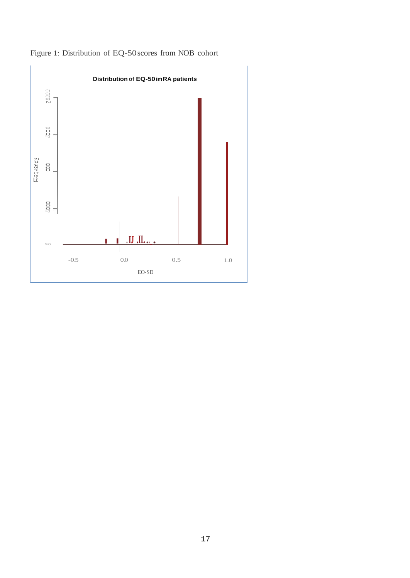

Figure 1: Distribution of EQ-50scores from NOB cohort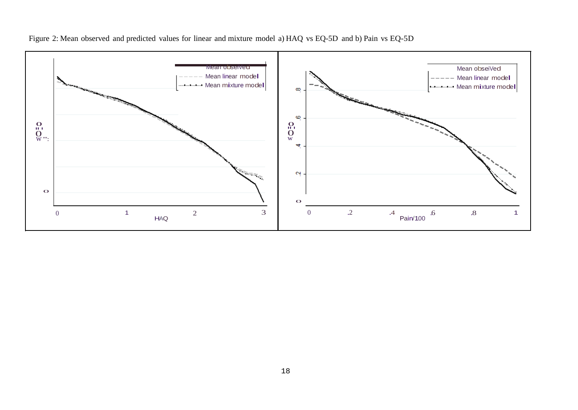

Figure 2: Mean observed and predicted values for linear and mixture model a) HAQ vs EQ-5D and b) Pain vs EQ-5D